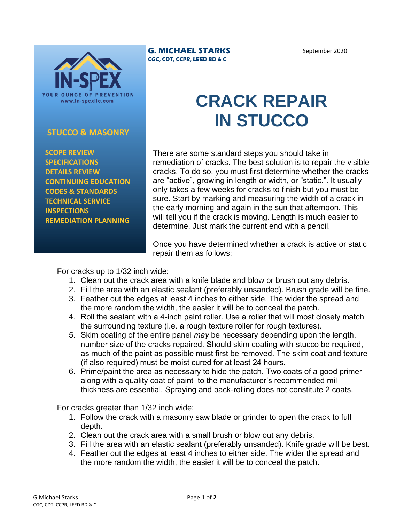

## **STUCCO & MASONRY**

 **SCOPE REVIEW SPECIFICATIONS DETAILS REVIEW CONTINUING EDUCATION CODES & STANDARDS TECHNICAL SERVICE INSPECTIONS REMEDIATION PLANNING**

## **G. MICHAEL STARKS CGC, CDT, CCPR, LEED BD & C**

## September 2020

## **CRACK REPAIR IN STUCCO**

There are some standard steps you should take in remediation of cracks. The best solution is to repair the visible cracks. To do so, you must first determine whether the cracks are "active", growing in length or width, or "static.". It usually only takes a few weeks for cracks to finish but you must be sure. Start by marking and measuring the width of a crack in the early morning and again in the sun that afternoon. This will tell you if the crack is moving. Length is much easier to determine. Just mark the current end with a pencil.

Once you have determined whether a crack is active or static repair them as follows:

For cracks up to 1/32 inch wide:

- 1. Clean out the crack area with a knife blade and blow or brush out any debris.
- 2. Fill the area with an elastic sealant (preferably unsanded). Brush grade will be fine.
- 3. Feather out the edges at least 4 inches to either side. The wider the spread and the more random the width, the easier it will be to conceal the patch.
- 4. Roll the sealant with a 4-inch paint roller. Use a roller that will most closely match the surrounding texture (i.e. a rough texture roller for rough textures).
- 5. Skim coating of the entire panel *may* be necessary depending upon the length, number size of the cracks repaired. Should skim coating with stucco be required, as much of the paint as possible must first be removed. The skim coat and texture (if also required) must be moist cured for at least 24 hours.
- 6. Prime/paint the area as necessary to hide the patch. Two coats of a good primer along with a quality coat of paint to the manufacturer's recommended mil thickness are essential. Spraying and back-rolling does not constitute 2 coats.

For cracks greater than 1/32 inch wide:

- 1. Follow the crack with a masonry saw blade or grinder to open the crack to full depth.
- 2. Clean out the crack area with a small brush or blow out any debris.
- 3. Fill the area with an elastic sealant (preferably unsanded). Knife grade will be best.
- 4. Feather out the edges at least 4 inches to either side. The wider the spread and the more random the width, the easier it will be to conceal the patch.